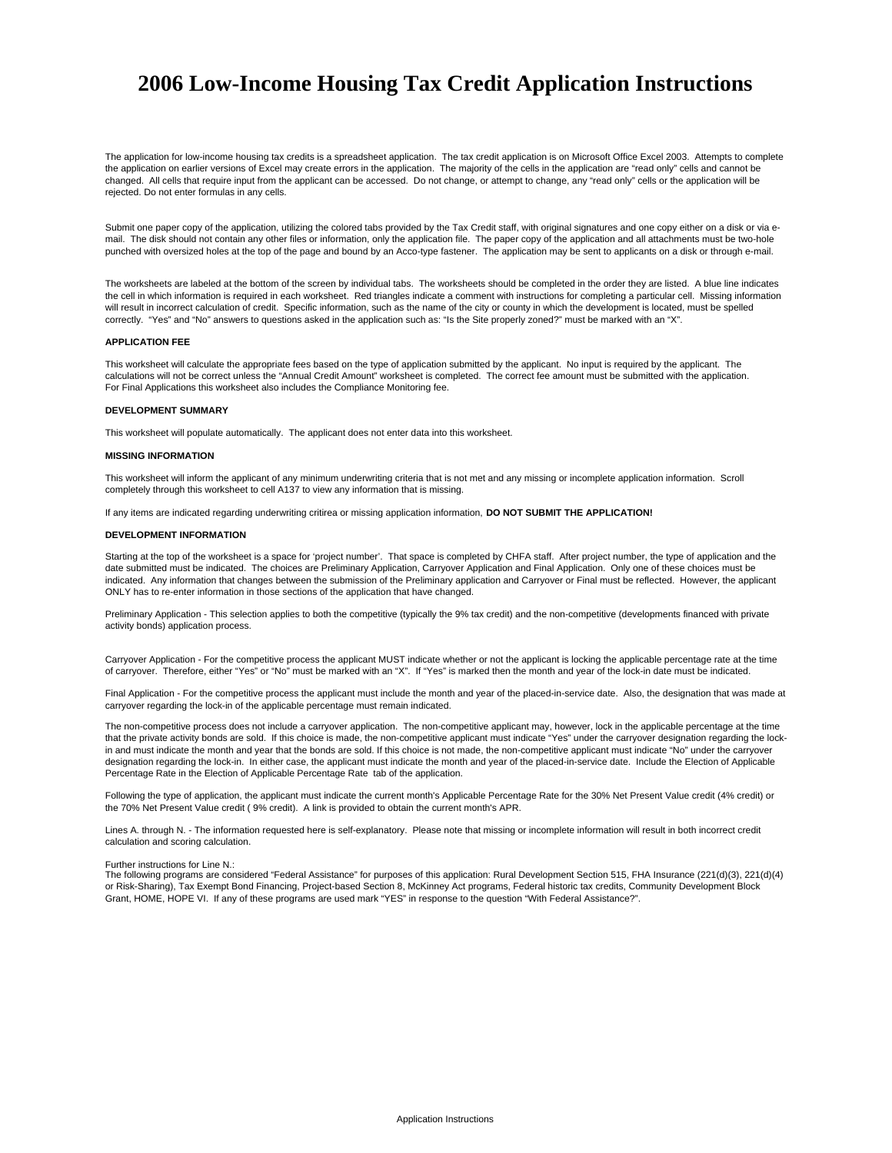# **2006 Low-Income Housing Tax Credit Application Instructions**

The application for low-income housing tax credits is a spreadsheet application. The tax credit application is on Microsoft Office Excel 2003. Attempts to complete the application on earlier versions of Excel may create errors in the application. The majority of the cells in the application are "read only" cells and cannot be changed. All cells that require input from the applicant can be accessed. Do not change, or attempt to change, any "read only" cells or the application will be rejected. Do not enter formulas in any cells.

Submit one paper copy of the application, utilizing the colored tabs provided by the Tax Credit staff, with original signatures and one copy either on a disk or via email. The disk should not contain any other files or information, only the application file. The paper copy of the application and all attachments must be two-hole punched with oversized holes at the top of the page and bound by an Acco-type fastener. The application may be sent to applicants on a disk or through e-mail.

The worksheets are labeled at the bottom of the screen by individual tabs. The worksheets should be completed in the order they are listed. A blue line indicates the cell in which information is required in each worksheet. Red triangles indicate a comment with instructions for completing a particular cell. Missing information will result in incorrect calculation of credit. Specific information, such as the name of the city or county in which the development is located, must be spelled correctly. "Yes" and "No" answers to questions asked in the application such as: "Is the Site properly zoned?" must be marked with an "X".

#### **APPLICATION FEE**

For Final Applications this worksheet also includes the Compliance Monitoring fee. This worksheet will calculate the appropriate fees based on the type of application submitted by the applicant. No input is required by the applicant. The calculations will not be correct unless the "Annual Credit Amount" worksheet is completed. The correct fee amount must be submitted with the application.

#### **DEVELOPMENT SUMMARY**

This worksheet will populate automatically. The applicant does not enter data into this worksheet.

# **MISSING INFORMATION**

This worksheet will inform the applicant of any minimum underwriting criteria that is not met and any missing or incomplete application information. Scroll completely through this worksheet to cell A137 to view any information that is missing.

If any items are indicated regarding underwriting critirea or missing application information, **DO NOT SUBMIT THE APPLICATION!**

# **DEVELOPMENT INFORMATION**

Starting at the top of the worksheet is a space for 'project number'. That space is completed by CHFA staff. After project number, the type of application and the date submitted must be indicated. The choices are Preliminary Application, Carryover Application and Final Application. Only one of these choices must be indicated. Any information that changes between the submission of the Preliminary application and Carryover or Final must be reflected. However, the applicant ONLY has to re-enter information in those sections of the application that have changed.

Preliminary Application - This selection applies to both the competitive (typically the 9% tax credit) and the non-competitive (developments financed with private activity bonds) application process.

Carryover Application - For the competitive process the applicant MUST indicate whether or not the applicant is locking the applicable percentage rate at the time of carryover. Therefore, either "Yes" or "No" must be marked with an "X". If "Yes" is marked then the month and year of the lock-in date must be indicated.

Final Application - For the competitive process the applicant must include the month and year of the placed-in-service date. Also, the designation that was made at carryover regarding the lock-in of the applicable percentage must remain indicated.

The non-competitive process does not include a carryover application. The non-competitive applicant may, however, lock in the applicable percentage at the time that the private activity bonds are sold. If this choice is made, the non-competitive applicant must indicate "Yes" under the carryover designation regarding the lockin and must indicate the month and year that the bonds are sold. If this choice is not made, the non-competitive applicant must indicate "No" under the carryover designation regarding the lock-in. In either case, the applicant must indicate the month and year of the placed-in-service date. Include the Election of Applicable Percentage Rate in the Election of Applicable Percentage Rate tab of the application.

Following the type of application, the applicant must indicate the current month's Applicable Percentage Rate for the 30% Net Present Value credit (4% credit) or the 70% Net Present Value credit ( 9% credit). A link is provided to obtain the current month's APR.

Lines A. through N. - The information requested here is self-explanatory. Please note that missing or incomplete information will result in both incorrect credit calculation and scoring calculation.

#### Further instructions for Line N.:

The following programs are considered "Federal Assistance" for purposes of this application: Rural Development Section 515, FHA Insurance (221(d)(3), 221(d)(4) or Risk-Sharing), Tax Exempt Bond Financing, Project-based Section 8, McKinney Act programs, Federal historic tax credits, Community Development Block Grant, HOME, HOPE VI. If any of these programs are used mark "YES" in response to the question "With Federal Assistance?".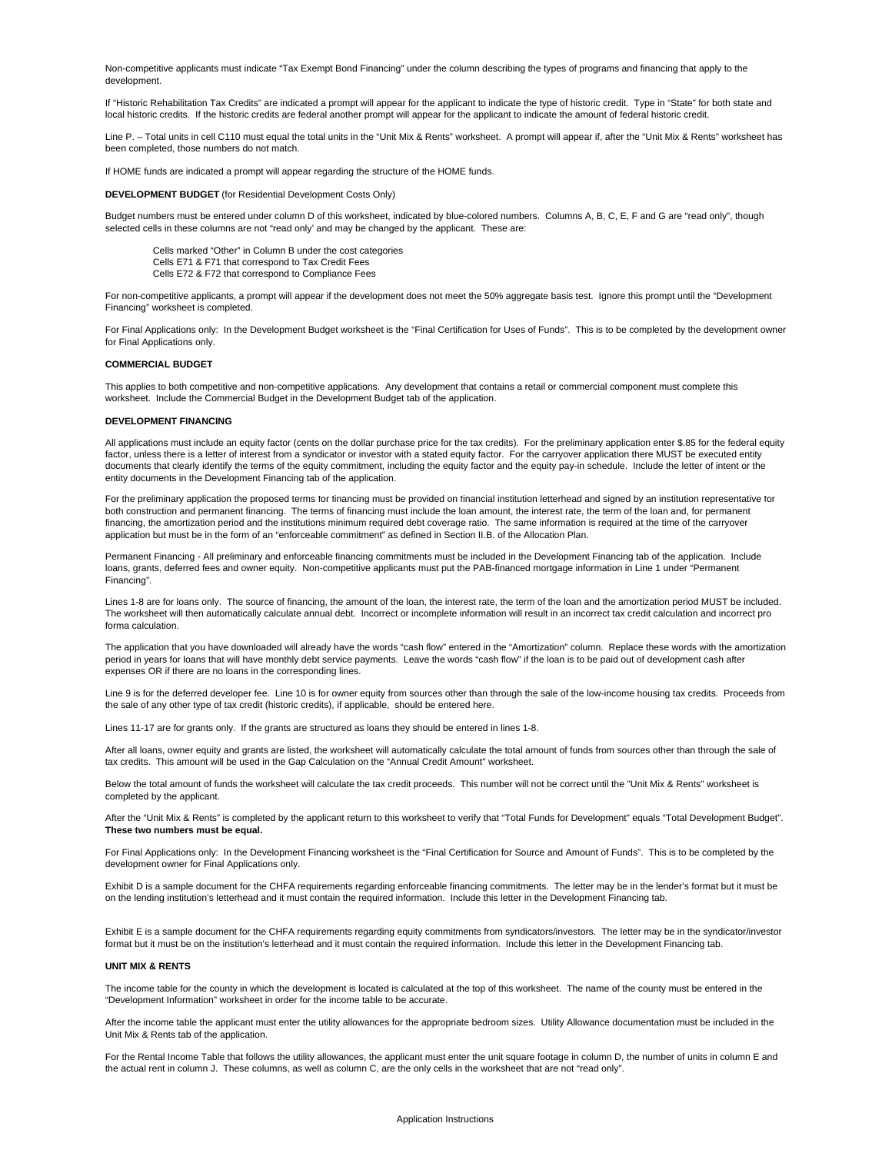Non-competitive applicants must indicate "Tax Exempt Bond Financing" under the column describing the types of programs and financing that apply to the development.

If "Historic Rehabilitation Tax Credits" are indicated a prompt will appear for the applicant to indicate the type of historic credit. Type in "State" for both state and local historic credits. If the historic credits are federal another prompt will appear for the applicant to indicate the amount of federal historic credit.

Line P. – Total units in cell C110 must equal the total units in the "Unit Mix & Rents" worksheet. A prompt will appear if, after the "Unit Mix & Rents" worksheet has been completed, those numbers do not match.

If HOME funds are indicated a prompt will appear regarding the structure of the HOME funds.

**DEVELOPMENT BUDGET** (for Residential Development Costs Only)

Budget numbers must be entered under column D of this worksheet, indicated by blue-colored numbers. Columns A, B, C, E, F and G are "read only", though selected cells in these columns are not "read only' and may be changed by the applicant. These are:

Cells E72 & F72 that correspond to Compliance Fees Cells marked "Other" in Column B under the cost categories Cells E71 & F71 that correspond to Tax Credit Fees

For non-competitive applicants, a prompt will appear if the development does not meet the 50% aggregate basis test. Ignore this prompt until the "Development Financing" worksheet is completed.

For Final Applications only: In the Development Budget worksheet is the "Final Certification for Uses of Funds". This is to be completed by the development owner for Final Applications only.

#### **COMMERCIAL BUDGET**

This applies to both competitive and non-competitive applications. Any development that contains a retail or commercial component must complete this worksheet. Include the Commercial Budget in the Development Budget tab of the application.

#### **DEVELOPMENT FINANCING**

All applications must include an equity factor (cents on the dollar purchase price for the tax credits). For the preliminary application enter \$.85 for the federal equity factor, unless there is a letter of interest from a syndicator or investor with a stated equity factor. For the carryover application there MUST be executed entity documents that clearly identify the terms of the equity commitment, including the equity factor and the equity pay-in schedule. Include the letter of intent or the entity documents in the Development Financing tab of the application.

For the preliminary application the proposed terms for financing must be provided on financial institution letterhead and signed by an institution representative for both construction and permanent financing. The terms of financing must include the loan amount, the interest rate, the term of the loan and, for permanent financing, the amortization period and the institutions minimum required debt coverage ratio. The same information is required at the time of the carryover application but must be in the form of an "enforceable commitment" as defined in Section II.B. of the Allocation Plan.

Permanent Financing - All preliminary and enforceable financing commitments must be included in the Development Financing tab of the application. Include loans, grants, deferred fees and owner equity. Non-competitive applicants must put the PAB-financed mortgage information in Line 1 under "Permanent Financing".

Lines 1-8 are for loans only. The source of financing, the amount of the loan, the interest rate, the term of the loan and the amortization period MUST be included. The worksheet will then automatically calculate annual debt. Incorrect or incomplete information will result in an incorrect tax credit calculation and incorrect pro forma calculation.

The application that you have downloaded will already have the words "cash flow" entered in the "Amortization" column. Replace these words with the amortization period in years for loans that will have monthly debt service payments. Leave the words "cash flow" if the loan is to be paid out of development cash after expenses OR if there are no loans in the corresponding lines.

Line 9 is for the deferred developer fee. Line 10 is for owner equity from sources other than through the sale of the low-income housing tax credits. Proceeds from the sale of any other type of tax credit (historic credits), if applicable, should be entered here.

Lines 11-17 are for grants only. If the grants are structured as loans they should be entered in lines 1-8.

After all loans, owner equity and grants are listed, the worksheet will automatically calculate the total amount of funds from sources other than through the sale of tax credits. This amount will be used in the Gap Calculation on the "Annual Credit Amount" worksheet.

Below the total amount of funds the worksheet will calculate the tax credit proceeds. This number will not be correct until the "Unit Mix & Rents" worksheet is completed by the applicant.

After the "Unit Mix & Rents" is completed by the applicant return to this worksheet to verify that "Total Funds for Development" equals "Total Development Budget". **These two numbers must be equal.**

For Final Applications only: In the Development Financing worksheet is the "Final Certification for Source and Amount of Funds". This is to be completed by the development owner for Final Applications only.

Exhibit D is a sample document for the CHFA requirements regarding enforceable financing commitments. The letter may be in the lender's format but it must be on the lending institution's letterhead and it must contain the required information. Include this letter in the Development Financing tab.

Exhibit E is a sample document for the CHFA requirements regarding equity commitments from syndicators/investors. The letter may be in the syndicator/investor format but it must be on the institution's letterhead and it must contain the required information. Include this letter in the Development Financing tab.

### **UNIT MIX & RENTS**

The income table for the county in which the development is located is calculated at the top of this worksheet. The name of the county must be entered in the "Development Information" worksheet in order for the income table to be accurate.

After the income table the applicant must enter the utility allowances for the appropriate bedroom sizes. Utility Allowance documentation must be included in the Unit Mix & Rents tab of the application.

For the Rental Income Table that follows the utility allowances, the applicant must enter the unit square footage in column D, the number of units in column E and the actual rent in column J. These columns, as well as column C, are the only cells in the worksheet that are not "read only".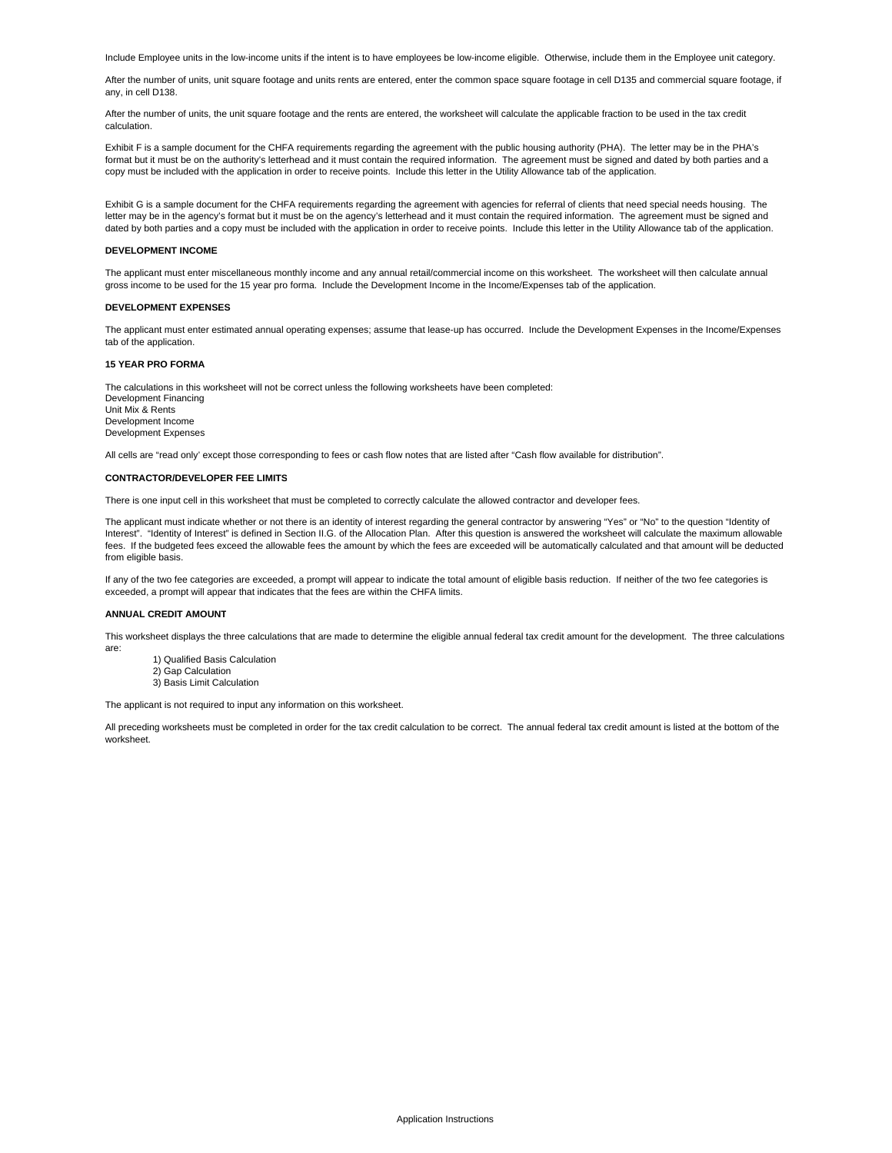Include Employee units in the low-income units if the intent is to have employees be low-income eligible. Otherwise, include them in the Employee unit category.

After the number of units, unit square footage and units rents are entered, enter the common space square footage in cell D135 and commercial square footage, if any, in cell D138.

After the number of units, the unit square footage and the rents are entered, the worksheet will calculate the applicable fraction to be used in the tax credit calculation.

Exhibit F is a sample document for the CHFA requirements regarding the agreement with the public housing authority (PHA). The letter may be in the PHA's format but it must be on the authority's letterhead and it must contain the required information. The agreement must be signed and dated by both parties and a copy must be included with the application in order to receive points. Include this letter in the Utility Allowance tab of the application.

Exhibit G is a sample document for the CHFA requirements regarding the agreement with agencies for referral of clients that need special needs housing. The letter may be in the agency's format but it must be on the agency's letterhead and it must contain the required information. The agreement must be signed and dated by both parties and a copy must be included with the application in order to receive points. Include this letter in the Utility Allowance tab of the application.

# **DEVELOPMENT INCOME**

The applicant must enter miscellaneous monthly income and any annual retail/commercial income on this worksheet. The worksheet will then calculate annual gross income to be used for the 15 year pro forma. Include the Development Income in the Income/Expenses tab of the application.

#### **DEVELOPMENT EXPENSES**

The applicant must enter estimated annual operating expenses; assume that lease-up has occurred. Include the Development Expenses in the Income/Expenses tab of the application.

#### **15 YEAR PRO FORMA**

Development Financing Unit Mix & Rents Development Income Development Expenses The calculations in this worksheet will not be correct unless the following worksheets have been completed:

All cells are "read only' except those corresponding to fees or cash flow notes that are listed after "Cash flow available for distribution".

# **CONTRACTOR/DEVELOPER FEE LIMITS**

There is one input cell in this worksheet that must be completed to correctly calculate the allowed contractor and developer fees.

The applicant must indicate whether or not there is an identity of interest regarding the general contractor by answering "Yes" or "No" to the question "Identity of Interest". "Identity of Interest" is defined in Section II.G. of the Allocation Plan. After this question is answered the worksheet will calculate the maximum allowable fees. If the budgeted fees exceed the allowable fees the amount by which the fees are exceeded will be automatically calculated and that amount will be deducted from eligible basis.

If any of the two fee categories are exceeded, a prompt will appear to indicate the total amount of eligible basis reduction. If neither of the two fee categories is exceeded, a prompt will appear that indicates that the fees are within the CHFA limits.

## **ANNUAL CREDIT AMOUNT**

This worksheet displays the three calculations that are made to determine the eligible annual federal tax credit amount for the development. The three calculations are:

- 1) Qualified Basis Calculation
- 2) Gap Calculation 3) Basis Limit Calculation

The applicant is not required to input any information on this worksheet.

All preceding worksheets must be completed in order for the tax credit calculation to be correct. The annual federal tax credit amount is listed at the bottom of the worksheet.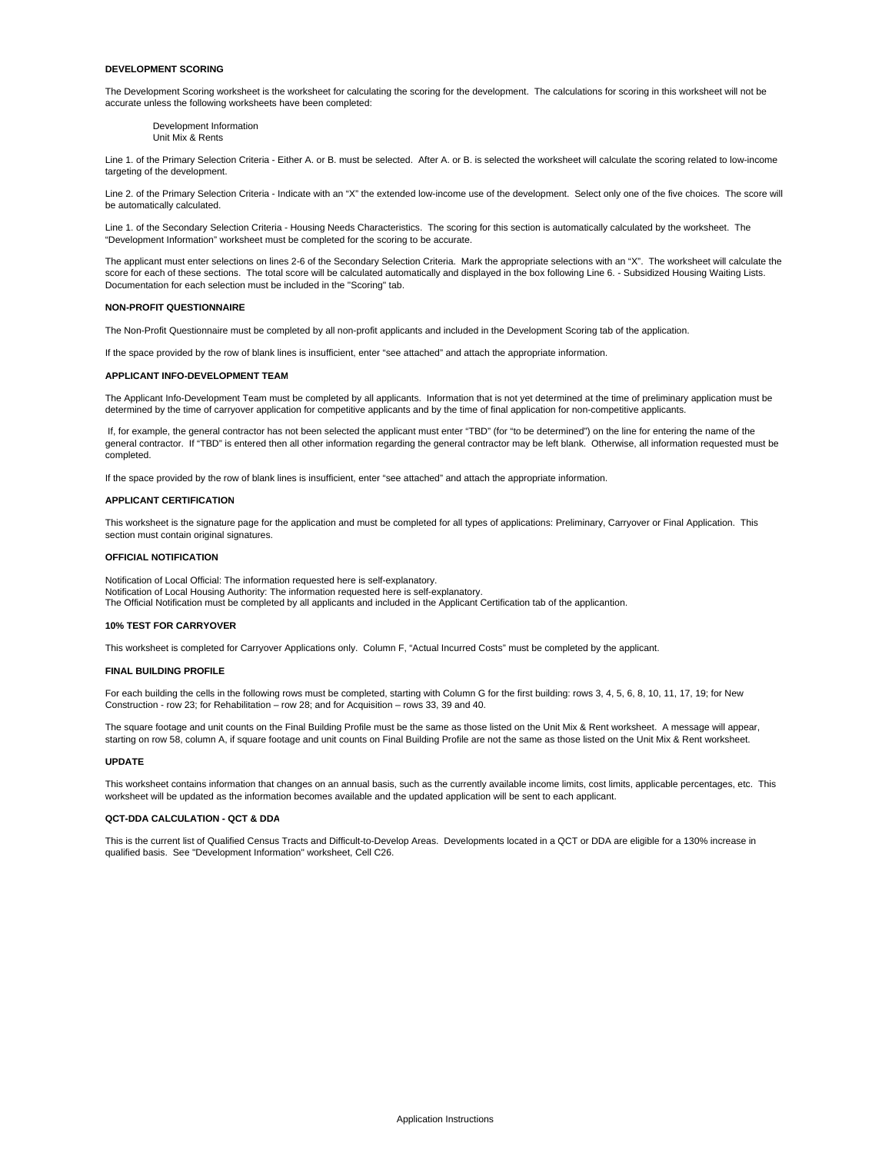# **DEVELOPMENT SCORING**

The Development Scoring worksheet is the worksheet for calculating the scoring for the development. The calculations for scoring in this worksheet will not be accurate unless the following worksheets have been completed:

Development Information Unit Mix & Rents

Line 1. of the Primary Selection Criteria - Either A. or B. must be selected. After A. or B. is selected the worksheet will calculate the scoring related to low-income targeting of the development.

Line 2. of the Primary Selection Criteria - Indicate with an "X" the extended low-income use of the development. Select only one of the five choices. The score will be automatically calculated.

Line 1. of the Secondary Selection Criteria - Housing Needs Characteristics. The scoring for this section is automatically calculated by the worksheet. The "Development Information" worksheet must be completed for the scoring to be accurate.

The applicant must enter selections on lines 2-6 of the Secondary Selection Criteria. Mark the appropriate selections with an "X". The worksheet will calculate the score for each of these sections. The total score will be calculated automatically and displayed in the box following Line 6. - Subsidized Housing Waiting Lists. Documentation for each selection must be included in the "Scoring" tab.

#### **NON-PROFIT QUESTIONNAIRE**

The Non-Profit Questionnaire must be completed by all non-profit applicants and included in the Development Scoring tab of the application.

If the space provided by the row of blank lines is insufficient, enter "see attached" and attach the appropriate information.

#### **APPLICANT INFO-DEVELOPMENT TEAM**

The Applicant Info-Development Team must be completed by all applicants. Information that is not yet determined at the time of preliminary application must be determined by the time of carryover application for competitive applicants and by the time of final application for non-competitive applicants.

 If, for example, the general contractor has not been selected the applicant must enter "TBD" (for "to be determined") on the line for entering the name of the general contractor. If "TBD" is entered then all other information regarding the general contractor may be left blank. Otherwise, all information requested must be completed.

If the space provided by the row of blank lines is insufficient, enter "see attached" and attach the appropriate information.

#### **APPLICANT CERTIFICATION**

This worksheet is the signature page for the application and must be completed for all types of applications: Preliminary, Carryover or Final Application. This section must contain original signatures.

## **OFFICIAL NOTIFICATION**

Notification of Local Official: The information requested here is self-explanatory. The Official Notification must be completed by all applicants and included in the Applicant Certification tab of the applicantion. Notification of Local Housing Authority: The information requested here is self-explanatory.

#### **10% TEST FOR CARRYOVER**

This worksheet is completed for Carryover Applications only. Column F, "Actual Incurred Costs" must be completed by the applicant.

## **FINAL BUILDING PROFILE**

For each building the cells in the following rows must be completed, starting with Column G for the first building: rows 3, 4, 5, 6, 8, 10, 11, 17, 19; for New Construction - row 23; for Rehabilitation – row 28; and for Acquisition – rows 33, 39 and 40.

The square footage and unit counts on the Final Building Profile must be the same as those listed on the Unit Mix & Rent worksheet. A message will appear, starting on row 58, column A, if square footage and unit counts on Final Building Profile are not the same as those listed on the Unit Mix & Rent worksheet.

## **UPDATE**

This worksheet contains information that changes on an annual basis, such as the currently available income limits, cost limits, applicable percentages, etc. This worksheet will be updated as the information becomes available and the updated application will be sent to each applicant.

#### **QCT-DDA CALCULATION - QCT & DDA**

This is the current list of Qualified Census Tracts and Difficult-to-Develop Areas. Developments located in a QCT or DDA are eligible for a 130% increase in qualified basis. See "Development Information" worksheet, Cell C26.